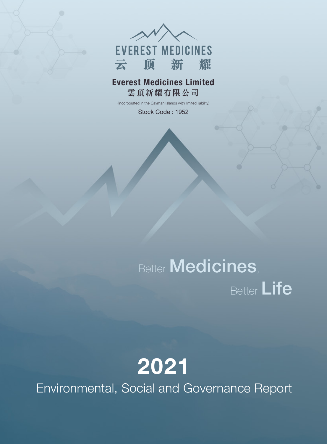

### **Everest Medicines Limited 雲頂新耀有限公司**

(Incorporated in the Cayman Islands with limited liability)

Stock Code : 1952

# Better **Medicines**, Better **Life**

# **2021**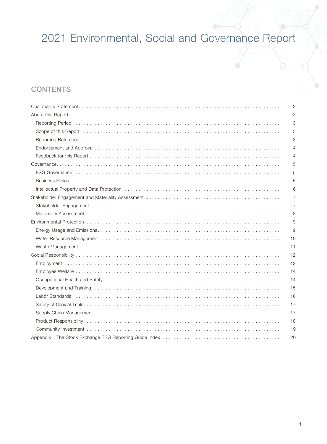### **CONTENTS**

| $\overline{2}$ |
|----------------|
| 3              |
| 3              |
| 3              |
| 3              |
| 4              |
| 4              |
| 5              |
| 5              |
| 5              |
| 6              |
| 7              |
| $\overline{7}$ |
| 8              |
| 9              |
| 9              |
| 10             |
| 11             |
| 12             |
| 12             |
| 14             |
| 14             |
| 15             |
| 16             |
| 17             |
| 17             |
| 18             |
| 19             |
| 20             |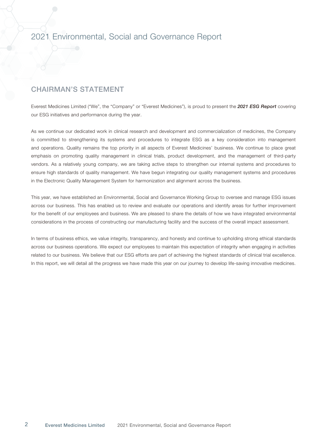### CHAIRMAN'S STATEMENT

Everest Medicines Limited ("We", the "Company" or "Everest Medicines"), is proud to present the *2021 ESG Report* covering our ESG initiatives and performance during the year.

As we continue our dedicated work in clinical research and development and commercialization of medicines, the Company is committed to strengthening its systems and procedures to integrate ESG as a key consideration into management and operations. Quality remains the top priority in all aspects of Everest Medicines' business. We continue to place great emphasis on promoting quality management in clinical trials, product development, and the management of third-party vendors. As a relatively young company, we are taking active steps to strengthen our internal systems and procedures to ensure high standards of quality management. We have begun integrating our quality management systems and procedures in the Electronic Quality Management System for harmonization and alignment across the business.

This year, we have established an Environmental, Social and Governance Working Group to oversee and manage ESG issues across our business. This has enabled us to review and evaluate our operations and identify areas for further improvement for the benefit of our employees and business. We are pleased to share the details of how we have integrated environmental considerations in the process of constructing our manufacturing facility and the success of the overall impact assessment.

In terms of business ethics, we value integrity, transparency, and honesty and continue to upholding strong ethical standards across our business operations. We expect our employees to maintain this expectation of integrity when engaging in activities related to our business. We believe that our ESG efforts are part of achieving the highest standards of clinical trial excellence. In this report, we will detail all the progress we have made this year on our journey to develop life-saving innovative medicines.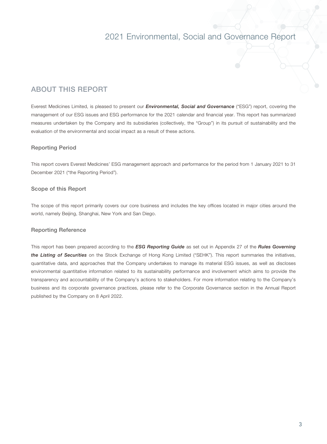### ABOUT THIS REPORT

Everest Medicines Limited, is pleased to present our *Environmental, Social and Governance* ("ESG") report, covering the management of our ESG issues and ESG performance for the 2021 calendar and financial year. This report has summarized measures undertaken by the Company and its subsidiaries (collectively, the "Group") in its pursuit of sustainability and the evaluation of the environmental and social impact as a result of these actions.

#### Reporting Period

This report covers Everest Medicines' ESG management approach and performance for the period from 1 January 2021 to 31 December 2021 ("the Reporting Period").

#### Scope of this Report

The scope of this report primarily covers our core business and includes the key offices located in major cities around the world, namely Beijing, Shanghai, New York and San Diego.

#### Reporting Reference

This report has been prepared according to the *ESG Reporting Guide* as set out in Appendix 27 of the *Rules Governing the Listing of Securities* on the Stock Exchange of Hong Kong Limited ("SEHK"). This report summaries the initiatives, quantitative data, and approaches that the Company undertakes to manage its material ESG issues, as well as discloses environmental quantitative information related to its sustainability performance and involvement which aims to provide the transparency and accountability of the Company's actions to stakeholders. For more information relating to the Company's business and its corporate governance practices, please refer to the Corporate Governance section in the Annual Report published by the Company on 8 April 2022.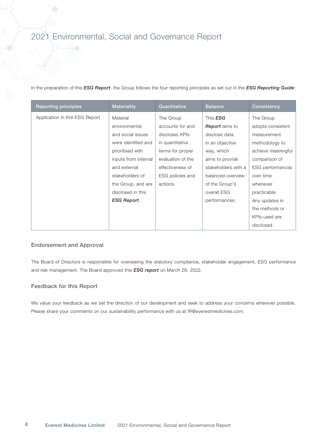In the preparation of this *ESG Report*, the Group follows the four reporting principles as set out in the *ESG Reporting Guide*:

| <b>Reporting principles</b>    | <b>Materiality</b>   | Quantitative      | <b>Balance</b>        | Consistency             |
|--------------------------------|----------------------|-------------------|-----------------------|-------------------------|
| Application in this ESG Report | Material             | The Group         | This <b>ESG</b>       | The Group               |
|                                | environmental        | accounts for and  | <b>Report</b> aims to | adopts consistent       |
|                                | and social issues    | discloses KPIs    | disclose data         | measurement             |
|                                | were identified and  | in quantitative   | in an objective       | methodology to          |
|                                | prioritised with     | terms for proper  | way, which            | achieve meaningful      |
|                                | inputs from internal | evaluation of the | aims to provide       | comparison of           |
|                                | and external         | effectiveness of  | stakeholders with a   | <b>ESG</b> performances |
|                                | stakeholders of      | ESG policies and  | balanced overview     | over time               |
|                                | the Group, and are   | actions.          | of the Group's        | whenever                |
|                                | disclosed in this    |                   | overall ESG           | practicable.            |
|                                | ESG Report.          |                   | performances.         | Any updates in          |
|                                |                      |                   |                       | the methods or          |
|                                |                      |                   |                       | KPIs used are           |
|                                |                      |                   |                       | disclosed.              |

#### Endorsement and Approval

The Board of Directors is responsible for overseeing the statutory compliance, stakeholder engagement, ESG performance and risk management. The Board approved this *ESG report* on March 28, 2022.

#### Feedback for this Report

We value your feedback as we set the direction of our development and seek to address your concerns wherever possible. Please share your comments on our sustainability performance with us at IR@everestmedicines.com.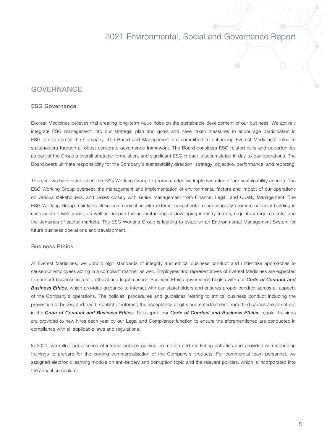#### GOVERNANCE

#### ESG Governance

Everest Medicines believes that creating long-term value rides on the sustainable development of our business. We actively integrate ESG management into our strategic plan and goals and have taken measures to encourage participation in ESG efforts across the Company. The Board and Management are committed to enhancing Everest Medicines' value to stakeholders through a robust corporate governance framework. The Board considers ESG-related risks and opportunities as part of the Group's overall strategic formulation, and significant ESG impact is accumulated in day-to-day operations. The Board bears ultimate responsibility for the Company's sustainability direction, strategy, objective, performance, and reporting.

This year we have established the ESG Working Group to promote effective implementation of our sustainability agenda. The ESG Working Group oversees the management and implementation of environmental factors and impact of our operations on various stakeholders, and liaises closely with senior management from Finance, Legal, and Quality Management. The ESG Working Group maintains close communication with external consultants to continuously promote capacity-building in sustainable development, as well as deepen the understanding of developing industry trends, regulatory requirements, and the demands of capital markets. The ESG Working Group is looking to establish an Environmental Management System for future business operations and development.

#### Business Ethics

At Everest Medicines, we uphold high standards of integrity and ethical business conduct and undertake approaches to cause our employees acting in a compliant manner as well. Employees and representatives of Everest Medicines are expected to conduct business in a fair, ethical and legal manner. Business Ethics governance begins with our *Code of Conduct and Business Ethics*, which provides guidance to interact with our stakeholders and ensures proper conduct across all aspects of the Company's operations. The policies, procedures and guidelines relating to ethical business conduct including the prevention of bribery and fraud, conflict of interest, the acceptance of gifts and entertainment from third parties are all set out in the *Code of Conduct and Business Ethics*. To support our *Code of Conduct and Business Ethics*, regular trainings are provided to new hires each year by our Legal and Compliance function to ensure the aforementioned are conducted in compliance with all applicable laws and regulations.

In 2021, we rolled out a series of internal policies guiding promotion and marketing activities and provided corresponding trainings to prepare for the coming commercialization of the Company's products. For commercial team personnel, we assigned electronic learning module on anti-bribery and corruption topic and the relevant policies, which is incorporated into the annual curriculum.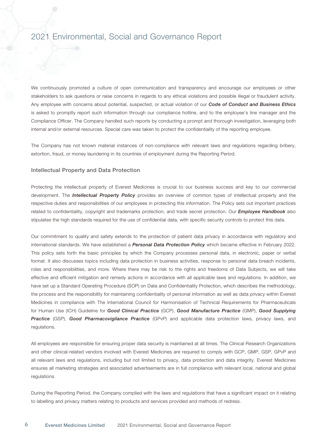We continuously promoted a culture of open communication and transparency and encourage our employees or other stakeholders to ask questions or raise concerns in regards to any ethical violations and possible illegal or fraudulent activity. Any employee with concerns about potential, suspected, or actual violation of our *Code of Conduct and Business Ethics* is asked to promptly report such information through our compliance hotline, and to the employee's line manager and the Compliance Officer. The Company handled such reports by conducting a prompt and thorough investigation, leveraging both internal and/or external resources. Special care was taken to protect the confidentiality of the reporting employee.

The Company has not known material instances of non-compliance with relevant laws and regulations regarding bribery, extortion, fraud, or money laundering in its countries of employment during the Reporting Period.

#### Intellectual Property and Data Protection

Protecting the intellectual property of Everest Medicines is crucial to our business success and key to our commercial development. The *Intellectual Property Policy* provides an overview of common types of intellectual property and the respective duties and responsibilities of our employees in protecting this information. The Policy sets out important practices related to confidentiality, copyright and trademarks protection, and trade secret protection. Our *Employee Handbook* also stipulates the high standards required for the use of confidential data, with specific security controls to protect this data.

Our commitment to quality and safety extends to the protection of patient data privacy in accordance with regulatory and international standards. We have established a *Personal Data Protection Policy* which became effective in February 2022. This policy sets forth the basic principles by which the Company processes personal data, in electronic, paper or verbal format. It also discusses topics including data protection in business activities, response to personal data breach incidents, roles and responsibilities, and more. Where there may be risk to the rights and freedoms of Data Subjects, we will take effective and efficient mitigation and remedy actions in accordance with all applicable laws and regulations. In addition, we have set up a Standard Operating Procedure (SOP) on Data and Confidentiality Protection, which describes the methodology, the process and the responsibility for maintaining confidentiality of personal information as well as data privacy within Everest Medicines in compliance with The International Council for Harmonisation of Technical Requirements for Pharmaceuticals for Human Use (ICH) Guideline for *Good Clinical Practice* (GCP), *Good Manufacture Practice* (GMP), *Good Supplying Practice* (GSP), *Good Pharmacovigilance Practice* (GPvP) and applicable data protection laws, privacy laws, and regulations.

All employees are responsible for ensuring proper data security is maintained at all times. The Clinical Research Organizations and other clinical-related vendors involved with Everest Medicines are required to comply with GCP, GMP, GSP, GPvP and all relevant laws and regulations, including but not limited to privacy, data protection and data integrity. Everest Medicines ensures all marketing strategies and associated advertisements are in full compliance with relevant local, national and global regulations.

During the Reporting Period, the Company complied with the laws and regulations that have a significant impact on it relating to labelling and privacy matters relating to products and services provided and methods of redress.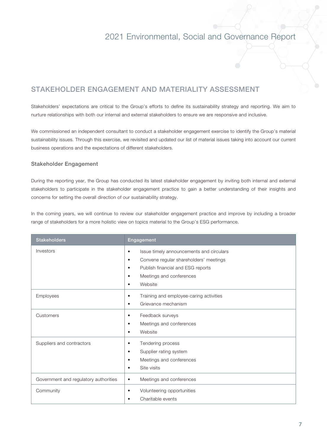### STAKEHOLDER ENGAGEMENT AND MATERIALITY ASSESSMENT

Stakeholders' expectations are critical to the Group's efforts to define its sustainability strategy and reporting. We aim to nurture relationships with both our internal and external stakeholders to ensure we are responsive and inclusive.

We commissioned an independent consultant to conduct a stakeholder engagement exercise to identify the Group's material sustainability issues. Through this exercise, we revisited and updated our list of material issues taking into account our current business operations and the expectations of different stakeholders.

#### Stakeholder Engagement

During the reporting year, the Group has conducted its latest stakeholder engagement by inviting both internal and external stakeholders to participate in the stakeholder engagement practice to gain a better understanding of their insights and concerns for setting the overall direction of our sustainability strategy.

In the coming years, we will continue to review our stakeholder engagement practice and improve by including a broader range of stakeholders for a more holistic view on topics material to the Group's ESG performance.

| <b>Stakeholders</b>                   | Engagement                                                                                                                                                                                                              |
|---------------------------------------|-------------------------------------------------------------------------------------------------------------------------------------------------------------------------------------------------------------------------|
| Investors                             | Issue timely announcements and circulars<br>$\bullet$<br>Convene regular shareholders' meetings<br>$\bullet$<br>Publish financial and ESG reports<br>$\bullet$<br>Meetings and conferences<br>٠<br>Website<br>$\bullet$ |
| Employees                             | Training and employee-caring activities<br>٠<br>Grievance mechanism<br>٠                                                                                                                                                |
| Customers                             | Feedback surveys<br>٠<br>Meetings and conferences<br>$\bullet$<br>Website<br>$\bullet$                                                                                                                                  |
| Suppliers and contractors             | Tendering process<br>٠<br>Supplier rating system<br>$\bullet$<br>Meetings and conferences<br>٠<br>Site visits<br>٠                                                                                                      |
| Government and regulatory authorities | Meetings and conferences<br>$\bullet$                                                                                                                                                                                   |
| Community                             | Volunteering opportunities<br>$\bullet$<br>Charitable events<br>$\bullet$                                                                                                                                               |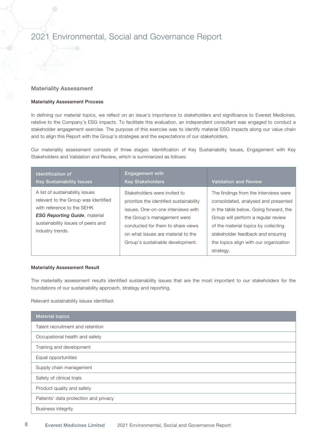#### Materiality Assessment

#### Materiality Assessment Process

In defining our material topics, we reflect on an issue's importance to stakeholders and significance to Everest Medicines, relative to the Company's ESG impacts. To facilitate this evaluation, an independent consultant was engaged to conduct a stakeholder engagement exercise. The purpose of this exercise was to identify material ESG impacts along our value chain and to align this Report with the Group's strategies and the expectations of our stakeholders.

Our materiality assessment consists of three stages: Identification of Key Sustainability Issues, Engagement with Key Stakeholders and Validation and Review, which is summarized as follows:

| Identification of<br><b>Key Sustainability Issues</b>                                                                                                                                                   | <b>Engagement with</b><br><b>Key Stakeholders</b>                                                                                                                                                                                                            | <b>Validation and Review</b>                                                                                                                                                                                                                                                                       |
|---------------------------------------------------------------------------------------------------------------------------------------------------------------------------------------------------------|--------------------------------------------------------------------------------------------------------------------------------------------------------------------------------------------------------------------------------------------------------------|----------------------------------------------------------------------------------------------------------------------------------------------------------------------------------------------------------------------------------------------------------------------------------------------------|
| A list of sustainability issues<br>relevant to the Group was identified<br>with reference to the SEHK<br><b>ESG Reporting Guide, material</b><br>sustainability issues of peers and<br>industry trends. | Stakeholders were invited to<br>prioritize the identified sustainability<br>issues. One-on-one interviews with<br>the Group's management were<br>conducted for them to share views<br>on what issues are material to the<br>Group's sustainable development. | The findings from the interviews were<br>consolidated, analysed and presented<br>in the table below. Going forward, the<br>Group will perform a regular review<br>of the material topics by collecting<br>stakeholder feedback and ensuring<br>the topics align with our organization<br>strategy. |

#### Materiality Assessment Result

The materiality assessment results identified sustainability issues that are the most important to our stakeholders for the foundations of our sustainability approach, strategy and reporting.

Relevant sustainability issues identified:

| <b>Material topics</b>                |
|---------------------------------------|
| Talent recruitment and retention      |
| Occupational health and safety        |
| Training and development              |
| Equal opportunities                   |
| Supply chain management               |
| Safety of clinical trials             |
| Product quality and safety            |
| Patients' data protection and privacy |
| <b>Business integrity</b>             |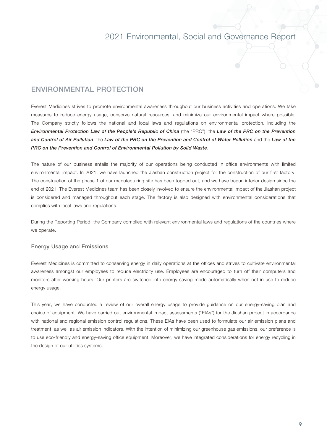### ENVIRONMENTAL PROTECTION

Everest Medicines strives to promote environmental awareness throughout our business activities and operations. We take measures to reduce energy usage, conserve natural resources, and minimize our environmental impact where possible. The Company strictly follows the national and local laws and regulations on environmental protection, including the *Environmental Protection Law of the People's Republic of China* (the "PRC"), the *Law of the PRC on the Prevention and Control of Air Pollution*, the *Law of the PRC on the Prevention and Control of Water Pollution* and the *Law of the PRC on the Prevention and Control of Environmental Pollution by Solid Waste*.

The nature of our business entails the majority of our operations being conducted in office environments with limited environmental impact. In 2021, we have launched the Jiashan construction project for the construction of our first factory. The construction of the phase 1 of our manufacturing site has been topped out, and we have begun interior design since the end of 2021. The Everest Medicines team has been closely involved to ensure the environmental impact of the Jiashan project is considered and managed throughout each stage. The factory is also designed with environmental considerations that complies with local laws and regulations.

During the Reporting Period, the Company complied with relevant environmental laws and regulations of the countries where we operate.

#### Energy Usage and Emissions

Everest Medicines is committed to conserving energy in daily operations at the offices and strives to cultivate environmental awareness amongst our employees to reduce electricity use. Employees are encouraged to turn off their computers and monitors after working hours. Our printers are switched into energy-saving mode automatically when not in use to reduce energy usage.

This year, we have conducted a review of our overall energy usage to provide guidance on our energy-saving plan and choice of equipment. We have carried out environmental impact assessments ("EIAs") for the Jiashan project in accordance with national and regional emission control regulations. These EIAs have been used to formulate our air emission plans and treatment, as well as air emission indicators. With the intention of minimizing our greenhouse gas emissions, our preference is to use eco-friendly and energy-saving office equipment. Moreover, we have integrated considerations for energy recycling in the design of our utilities systems.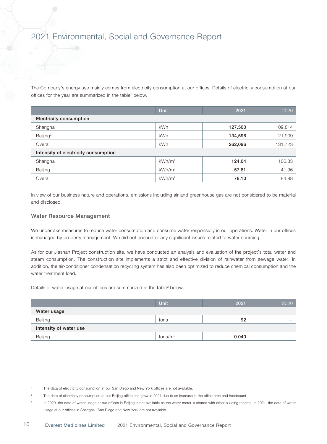The Company's energy use mainly comes from electricity consumption at our offices. Details of electricity consumption at our offices for the year are summarized in the table<sup>1</sup> below.

|                                      | <b>Unit</b>        | 2021    | 2020    |
|--------------------------------------|--------------------|---------|---------|
| <b>Electricity consumption</b>       |                    |         |         |
| Shanghai                             | <b>kWh</b>         | 127,500 | 109,814 |
| Beijing <sup>2</sup>                 | <b>kWh</b>         | 134,596 | 21,909  |
| Overall                              | kWh                | 262,096 | 131,723 |
| Intensity of electricity consumption |                    |         |         |
| Shanghai                             | kWh/m <sup>2</sup> | 124.04  | 106.83  |
| Beijing                              | kWh/m <sup>2</sup> | 57.81   | 41.96   |
| Overall                              | kWh/m <sup>2</sup> | 78.10   | 84.98   |

In view of our business nature and operations, emissions including air and greenhouse gas are not considered to be material and disclosed.

#### Water Resource Management

We undertake measures to reduce water consumption and consume water responsibly in our operations. Water in our offices is managed by property management. We did not encounter any significant issues related to water sourcing.

As for our Jiashan Project construction site, we have conducted an analysis and evaluation of the project's total water and steam consumption. The construction site implements a strict and effective division of rainwater from sewage water. In addition, the air-conditioner condensation recycling system has also been optimized to reduce chemical consumption and the water treatment load.

Details of water usage at our offices are summarized in the table<sup>3</sup> below.

|                        | Unit                | 2021  | 2020 |
|------------------------|---------------------|-------|------|
| Water usage            |                     |       |      |
| Beijing                | tons                | 92    |      |
| Intensity of water use |                     |       |      |
| Beijing                | tons/m <sup>2</sup> | 0.040 |      |

The data of electricity consumption at our San Diego and New York offices are not available.

<sup>2</sup> The data of electricity consumption at our Beijing office has grew in 2021 due to an increase in the office area and headcount.

In 2020, the data of water usage at our offices in Beijing is not available as the water meter is shared with other building tenants. In 2021, the data of water usage at our offices in Shanghai, San Diego and New York are not available.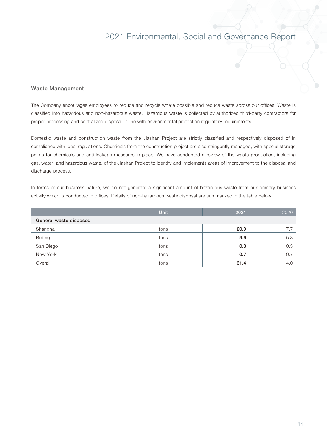#### Waste Management

The Company encourages employees to reduce and recycle where possible and reduce waste across our offices. Waste is classified into hazardous and non-hazardous waste. Hazardous waste is collected by authorized third-party contractors for proper processing and centralized disposal in line with environmental protection regulatory requirements.

Domestic waste and construction waste from the Jiashan Project are strictly classified and respectively disposed of in compliance with local regulations. Chemicals from the construction project are also stringently managed, with special storage points for chemicals and anti-leakage measures in place. We have conducted a review of the waste production, including gas, water, and hazardous waste, of the Jiashan Project to identify and implements areas of improvement to the disposal and discharge process.

In terms of our business nature, we do not generate a significant amount of hazardous waste from our primary business activity which is conducted in offices. Details of non-hazardous waste disposal are summarized in the table below.

|                        | <b>Unit</b> | 2021 | 2020 |
|------------------------|-------------|------|------|
| General waste disposed |             |      |      |
| Shanghai               | tons        | 20.9 |      |
| Beijing                | tons        | 9.9  | 5.3  |
| San Diego              | tons        | 0.3  | 0.3  |
| New York               | tons        | 0.7  | 0.7  |
| Overall                | tons        | 31.4 | 14.0 |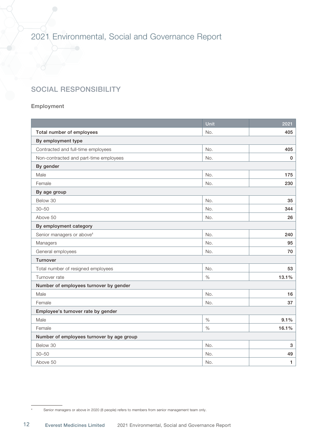### SOCIAL RESPONSIBILITY

#### Employment

|                                           | Unit | 2021  |
|-------------------------------------------|------|-------|
| Total number of employees                 | No.  | 405   |
| By employment type                        |      |       |
| Contracted and full-time employees        | No.  | 405   |
| Non-contracted and part-time employees    | No.  | 0     |
| By gender                                 |      |       |
| Male                                      | No.  | 175   |
| Female                                    | No.  | 230   |
| By age group                              |      |       |
| Below 30                                  | No.  | 35    |
| $30 - 50$                                 | No.  | 344   |
| Above 50                                  | No.  | 26    |
| By employment category                    |      |       |
| Senior managers or above <sup>4</sup>     | No.  | 240   |
| Managers                                  | No.  | 95    |
| General employees                         | No.  | 70    |
| <b>Turnover</b>                           |      |       |
| Total number of resigned employees        | No.  | 53    |
| Turnover rate                             | $\%$ | 13.1% |
| Number of employees turnover by gender    |      |       |
| Male                                      | No.  | 16    |
| Female                                    | No.  | 37    |
| Employee's turnover rate by gender        |      |       |
| Male                                      | $\%$ | 9.1%  |
| Female                                    | $\%$ | 16.1% |
| Number of employees turnover by age group |      |       |
| Below 30                                  | No.  | 3     |
| $30 - 50$                                 | No.  | 49    |
| Above 50                                  | No.  | 1     |

<sup>4</sup> Senior managers or above in 2020 (8 people) refers to members from senior management team only.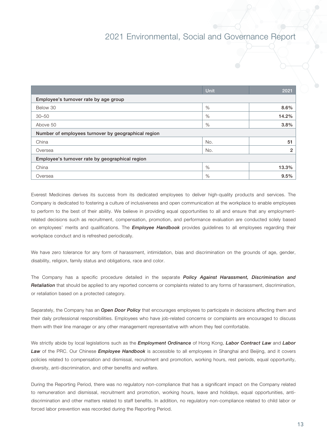|                                                     | <b>Unit</b> | 2021  |  |
|-----------------------------------------------------|-------------|-------|--|
| Employee's turnover rate by age group               |             |       |  |
| Below 30                                            | %           | 8.6%  |  |
| $30 - 50$                                           | $\%$        | 14.2% |  |
| Above 50                                            | %           | 3.8%  |  |
| Number of employees turnover by geographical region |             |       |  |
| China                                               | No.         | 51    |  |
| Oversea                                             | No.         | 2     |  |
| Employee's turnover rate by geographical region     |             |       |  |
| China                                               | $\%$        | 13.3% |  |
| Oversea                                             | %           | 9.5%  |  |

Everest Medicines derives its success from its dedicated employees to deliver high-quality products and services. The Company is dedicated to fostering a culture of inclusiveness and open communication at the workplace to enable employees to perform to the best of their ability. We believe in providing equal opportunities to all and ensure that any employmentrelated decisions such as recruitment, compensation, promotion, and performance evaluation are conducted solely based on employees' merits and qualifications. The *Employee Handbook* provides guidelines to all employees regarding their workplace conduct and is refreshed periodically.

We have zero tolerance for any form of harassment, intimidation, bias and discrimination on the grounds of age, gender, disability, religion, family status and obligations, race and color.

The Company has a specific procedure detailed in the separate *Policy Against Harassment, Discrimination and Retaliation* that should be applied to any reported concerns or complaints related to any forms of harassment, discrimination, or retaliation based on a protected category.

Separately, the Company has an *Open Door Policy* that encourages employees to participate in decisions affecting them and their daily professional responsibilities. Employees who have job-related concerns or complaints are encouraged to discuss them with their line manager or any other management representative with whom they feel comfortable.

We strictly abide by local legislations such as the *Employment Ordinance* of Hong Kong, *Labor Contract Law* and *Labor Law* of the PRC. Our Chinese *Employee Handbook* is accessible to all employees in Shanghai and Beijing, and it covers policies related to compensation and dismissal, recruitment and promotion, working hours, rest periods, equal opportunity, diversity, anti-discrimination, and other benefits and welfare.

During the Reporting Period, there was no regulatory non-compliance that has a significant impact on the Company related to remuneration and dismissal, recruitment and promotion, working hours, leave and holidays, equal opportunities, antidiscrimination and other matters related to staff benefits. In addition, no regulatory non-compliance related to child labor or forced labor prevention was recorded during the Reporting Period.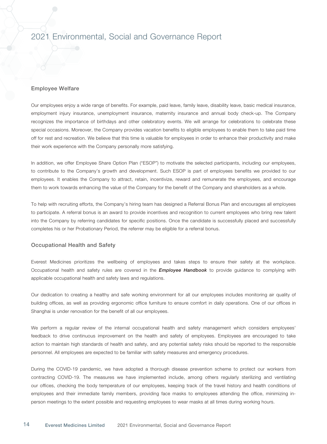#### Employee Welfare

Our employees enjoy a wide range of benefits. For example, paid leave, family leave, disability leave, basic medical insurance, employment injury insurance, unemployment insurance, maternity insurance and annual body check-up. The Company recognizes the importance of birthdays and other celebratory events. We will arrange for celebrations to celebrate these special occasions. Moreover, the Company provides vacation benefits to eligible employees to enable them to take paid time off for rest and recreation. We believe that this time is valuable for employees in order to enhance their productivity and make their work experience with the Company personally more satisfying.

In addition, we offer Employee Share Option Plan ("ESOP") to motivate the selected participants, including our employees, to contribute to the Company's growth and development. Such ESOP is part of employees benefits we provided to our employees. It enables the Company to attract, retain, incentivize, reward and remunerate the employees, and encourage them to work towards enhancing the value of the Company for the benefit of the Company and shareholders as a whole.

To help with recruiting efforts, the Company's hiring team has designed a Referral Bonus Plan and encourages all employees to participate. A referral bonus is an award to provide incentives and recognition to current employees who bring new talent into the Company by referring candidates for specific positions. Once the candidate is successfully placed and successfully completes his or her Probationary Period, the referrer may be eligible for a referral bonus.

#### Occupational Health and Safety

Everest Medicines prioritizes the wellbeing of employees and takes steps to ensure their safety at the workplace. Occupational health and safety rules are covered in the *Employee Handbook* to provide guidance to complying with applicable occupational health and safety laws and regulations.

Our dedication to creating a healthy and safe working environment for all our employees includes monitoring air quality of building offices, as well as providing ergonomic office furniture to ensure comfort in daily operations. One of our offices in Shanghai is under renovation for the benefit of all our employees.

We perform a regular review of the internal occupational health and safety management which considers employees' feedback to drive continuous improvement on the health and safety of employees. Employees are encouraged to take action to maintain high standards of health and safety, and any potential safety risks should be reported to the responsible personnel. All employees are expected to be familiar with safety measures and emergency procedures.

During the COVID-19 pandemic, we have adopted a thorough disease prevention scheme to protect our workers from contracting COVID-19. The measures we have implemented include, among others regularly sterilizing and ventilating our offices, checking the body temperature of our employees, keeping track of the travel history and health conditions of employees and their immediate family members, providing face masks to employees attending the office, minimizing inperson meetings to the extent possible and requesting employees to wear masks at all times during working hours.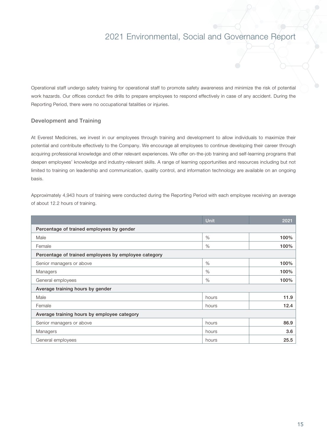Operational staff undergo safety training for operational staff to promote safety awareness and minimize the risk of potential work hazards. Our offices conduct fire drills to prepare employees to respond effectively in case of any accident. During the Reporting Period, there were no occupational fatalities or injuries.

#### Development and Training

At Everest Medicines, we invest in our employees through training and development to allow individuals to maximize their potential and contribute effectively to the Company. We encourage all employees to continue developing their career through acquiring professional knowledge and other relevant experiences. We offer on-the-job training and self-learning programs that deepen employees' knowledge and industry-relevant skills. A range of learning opportunities and resources including but not limited to training on leadership and communication, quality control, and information technology are available on an ongoing basis.

Approximately 4,943 hours of training were conducted during the Reporting Period with each employee receiving an average of about 12.2 hours of training.

|                                                      | <b>Unit</b> | 2021 |  |
|------------------------------------------------------|-------------|------|--|
| Percentage of trained employees by gender            |             |      |  |
| Male                                                 | $\%$        | 100% |  |
| Female                                               | $\%$        | 100% |  |
| Percentage of trained employees by employee category |             |      |  |
| Senior managers or above                             | $\%$        | 100% |  |
| Managers                                             | $\%$        | 100% |  |
| General employees                                    | $\%$        | 100% |  |
| Average training hours by gender                     |             |      |  |
| Male                                                 | hours       | 11.9 |  |
| Female                                               | hours       | 12.4 |  |
| Average training hours by employee category          |             |      |  |
| Senior managers or above                             | hours       | 86.9 |  |
| Managers                                             | hours       | 3.6  |  |
| General employees                                    | hours       | 25.5 |  |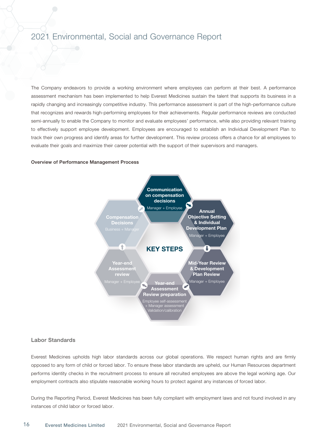The Company endeavors to provide a working environment where employees can perform at their best. A performance assessment mechanism has been implemented to help Everest Medicines sustain the talent that supports its business in a rapidly changing and increasingly competitive industry. This performance assessment is part of the high-performance culture that recognizes and rewards high-performing employees for their achievements. Regular performance reviews are conducted semi-annually to enable the Company to monitor and evaluate employees' performance, while also providing relevant training to effectively support employee development. Employees are encouraged to establish an Individual Development Plan to track their own progress and identify areas for further development. This review process offers a chance for all employees to evaluate their goals and maximize their career potential with the support of their supervisors and managers.

#### Overview of Performance Management Process



#### Labor Standards

Everest Medicines upholds high labor standards across our global operations. We respect human rights and are firmly opposed to any form of child or forced labor. To ensure these labor standards are upheld, our Human Resources department performs identity checks in the recruitment process to ensure all recruited employees are above the legal working age. Our employment contracts also stipulate reasonable working hours to protect against any instances of forced labor.

During the Reporting Period, Everest Medicines has been fully compliant with employment laws and not found involved in any instances of child labor or forced labor.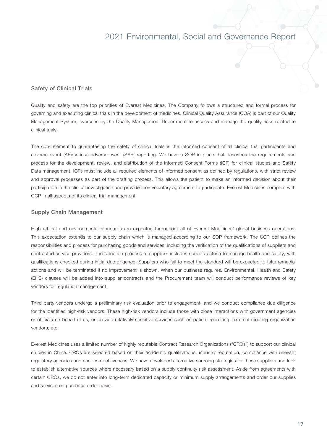#### Safety of Clinical Trials

Quality and safety are the top priorities of Everest Medicines. The Company follows a structured and formal process for governing and executing clinical trials in the development of medicines. Clinical Quality Assurance (CQA) is part of our Quality Management System, overseen by the Quality Management Department to assess and manage the quality risks related to clinical trials.

The core element to guaranteeing the safety of clinical trials is the informed consent of all clinical trial participants and adverse event (AE)/serious adverse event (SAE) reporting. We have a SOP in place that describes the requirements and process for the development, review, and distribution of the Informed Consent Forms (ICF) for clinical studies and Safety Data management. ICFs must include all required elements of informed consent as defined by regulations, with strict review and approval processes as part of the drafting process. This allows the patient to make an informed decision about their participation in the clinical investigation and provide their voluntary agreement to participate. Everest Medicines complies with GCP in all aspects of its clinical trial management.

#### Supply Chain Management

High ethical and environmental standards are expected throughout all of Everest Medicines' global business operations. This expectation extends to our supply chain which is managed according to our SOP framework. The SOP defines the responsibilities and process for purchasing goods and services, including the verification of the qualifications of suppliers and contracted service providers. The selection process of suppliers includes specific criteria to manage health and safety, with qualifications checked during initial due diligence. Suppliers who fail to meet the standard will be expected to take remedial actions and will be terminated if no improvement is shown. When our business requires, Environmental, Health and Safety (EHS) clauses will be added into supplier contracts and the Procurement team will conduct performance reviews of key vendors for regulation management.

Third party-vendors undergo a preliminary risk evaluation prior to engagement, and we conduct compliance due diligence for the identified high-risk vendors. These high-risk vendors include those with close interactions with government agencies or officials on behalf of us, or provide relatively sensitive services such as patient recruiting, external meeting organization vendors, etc.

Everest Medicines uses a limited number of highly reputable Contract Research Organizations ("CROs") to support our clinical studies in China. CROs are selected based on their academic qualifications, industry reputation, compliance with relevant regulatory agencies and cost competitiveness. We have developed alternative sourcing strategies for these suppliers and look to establish alternative sources where necessary based on a supply continuity risk assessment. Aside from agreements with certain CROs, we do not enter into long-term dedicated capacity or minimum supply arrangements and order our supplies and services on purchase order basis.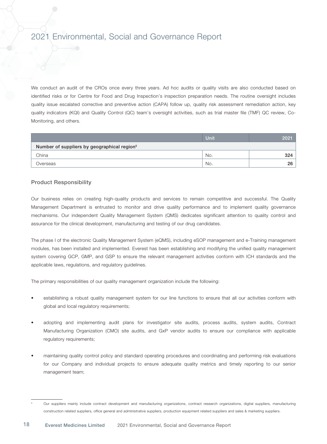We conduct an audit of the CROs once every three years. Ad hoc audits or quality visits are also conducted based on identified risks or for Centre for Food and Drug Inspection's inspection preparation needs. The routine oversight includes quality issue escalated corrective and preventive action (CAPA) follow up, quality risk assessment remediation action, key quality indicators (KQI) and Quality Control (QC) team's oversight activities, such as trial master file (TMF) QC review, Co-Monitoring, and others.

|                                                         | Unit | 2021 |
|---------------------------------------------------------|------|------|
| Number of suppliers by geographical region <sup>5</sup> |      |      |
| China                                                   | No.  | 324  |
| Overseas                                                | No.  | 26   |

#### Product Responsibility

Our business relies on creating high-quality products and services to remain competitive and successful. The Quality Management Department is entrusted to monitor and drive quality performance and to implement quality governance mechanisms. Our independent Quality Management System (QMS) dedicates significant attention to quality control and assurance for the clinical development, manufacturing and testing of our drug candidates.

The phase I of the electronic Quality Management System (eQMS), including eSOP management and e-Training management modules, has been installed and implemented. Everest has been establishing and modifying the unified quality management system covering GCP, GMP, and GSP to ensure the relevant management activities conform with ICH standards and the applicable laws, regulations, and regulatory guidelines.

The primary responsibilities of our quality management organization include the following:

- establishing a robust quality management system for our line functions to ensure that all our activities conform with global and local regulatory requirements;
- adopting and implementing audit plans for investigator site audits, process audits, system audits, Contract Manufacturing Organization (CMO) site audits, and GxP vendor audits to ensure our compliance with applicable regulatory requirements;
- maintaining quality control policy and standard operating procedures and coordinating and performing risk evaluations for our Company and individual projects to ensure adequate quality metrics and timely reporting to our senior management team;

Our suppliers mainly include contract development and manufacturing organizations, contract research organizations, digital suppliers, manufacturing construction related suppliers, office general and administrative suppliers, production equipment related suppliers and sales & marketing suppliers.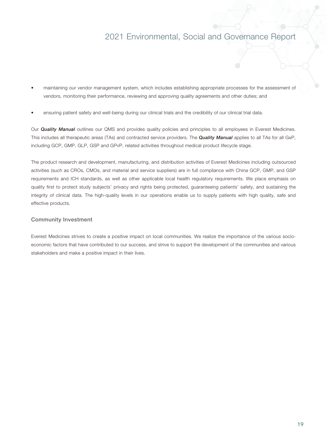- maintaining our vendor management system, which includes establishing appropriate processes for the assessment of vendors, monitoring their performance, reviewing and approving quality agreements and other duties; and
- ensuring patient safety and well-being during our clinical trials and the credibility of our clinical trial data.

Our *Quality Manual* outlines our QMS and provides quality policies and principles to all employees in Everest Medicines. This includes all therapeutic areas (TAs) and contracted service providers. The *Quality Manual* applies to all TAs for all GxP, including GCP, GMP, GLP, GSP and GPvP, related activities throughout medical product lifecycle stage.

The product research and development, manufacturing, and distribution activities of Everest Medicines including outsourced activities (such as CROs, CMOs, and material and service suppliers) are in full compliance with China GCP, GMP, and GSP requirements and ICH standards, as well as other applicable local health regulatory requirements. We place emphasis on quality first to protect study subjects' privacy and rights being protected, guaranteeing patients' safety, and sustaining the integrity of clinical data. The high-quality levels in our operations enable us to supply patients with high quality, safe and effective products.

#### Community Investment

Everest Medicines strives to create a positive impact on local communities. We realize the importance of the various socioeconomic factors that have contributed to our success, and strive to support the development of the communities and various stakeholders and make a positive impact in their lives.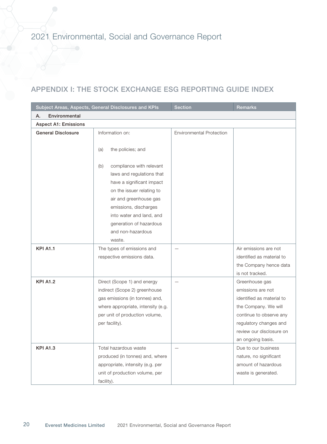### APPENDIX I: THE STOCK EXCHANGE ESG REPORTING GUIDE INDEX

|                             | Subject Areas, Aspects, General Disclosures and KPIs | <b>Section</b>                  | <b>Remarks</b>            |
|-----------------------------|------------------------------------------------------|---------------------------------|---------------------------|
| Environmental<br>А.         |                                                      |                                 |                           |
| <b>Aspect A1: Emissions</b> |                                                      |                                 |                           |
| <b>General Disclosure</b>   | Information on:                                      | <b>Environmental Protection</b> |                           |
|                             |                                                      |                                 |                           |
|                             | the policies; and<br>(a)                             |                                 |                           |
|                             |                                                      |                                 |                           |
|                             | compliance with relevant<br>(b)                      |                                 |                           |
|                             | laws and regulations that                            |                                 |                           |
|                             | have a significant impact                            |                                 |                           |
|                             | on the issuer relating to                            |                                 |                           |
|                             | air and greenhouse gas                               |                                 |                           |
|                             | emissions, discharges                                |                                 |                           |
|                             | into water and land, and                             |                                 |                           |
|                             | generation of hazardous                              |                                 |                           |
|                             | and non-hazardous                                    |                                 |                           |
|                             | waste.                                               |                                 |                           |
| <b>KPI A1.1</b>             | The types of emissions and                           |                                 | Air emissions are not     |
|                             | respective emissions data.                           |                                 | identified as material to |
|                             |                                                      |                                 | the Company hence data    |
|                             |                                                      |                                 | is not tracked.           |
| <b>KPI A1.2</b>             | Direct (Scope 1) and energy                          | $\overline{\phantom{0}}$        | Greenhouse gas            |
|                             | indirect (Scope 2) greenhouse                        |                                 | emissions are not         |
|                             | gas emissions (in tonnes) and,                       |                                 | identified as material to |
|                             | where appropriate, intensity (e.g.                   |                                 | the Company. We will      |
|                             | per unit of production volume,                       |                                 | continue to observe any   |
|                             | per facility).                                       |                                 | regulatory changes and    |
|                             |                                                      |                                 | review our disclosure on  |
|                             |                                                      |                                 | an ongoing basis.         |
| <b>KPI A1.3</b>             | Total hazardous waste                                |                                 | Due to our business       |
|                             | produced (in tonnes) and, where                      |                                 | nature, no significant    |
|                             | appropriate, intensity (e.g. per                     |                                 | amount of hazardous       |
|                             | unit of production volume, per                       |                                 | waste is generated.       |
|                             | facility).                                           |                                 |                           |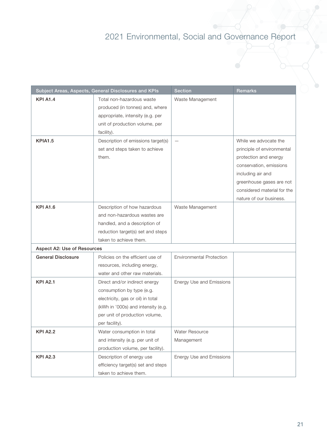|                             | Subject Areas, Aspects, General Disclosures and KPIs | <b>Section</b>                  | Remarks                     |
|-----------------------------|------------------------------------------------------|---------------------------------|-----------------------------|
| <b>KPI A1.4</b>             | Total non-hazardous waste                            | Waste Management                |                             |
|                             | produced (in tonnes) and, where                      |                                 |                             |
|                             | appropriate, intensity (e.g. per                     |                                 |                             |
|                             | unit of production volume, per                       |                                 |                             |
|                             | facility).                                           |                                 |                             |
| <b>KPIA1.5</b>              | Description of emissions target(s)                   | $\qquad \qquad -$               | While we advocate the       |
|                             | set and steps taken to achieve                       |                                 | principle of environmental  |
|                             | them.                                                |                                 | protection and energy       |
|                             |                                                      |                                 | conservation, emissions     |
|                             |                                                      |                                 | including air and           |
|                             |                                                      |                                 | greenhouse gases are not    |
|                             |                                                      |                                 | considered material for the |
|                             |                                                      |                                 | nature of our business.     |
| <b>KPI A1.6</b>             | Description of how hazardous                         | Waste Management                |                             |
|                             | and non-hazardous wastes are                         |                                 |                             |
|                             | handled, and a description of                        |                                 |                             |
|                             | reduction target(s) set and steps                    |                                 |                             |
|                             | taken to achieve them.                               |                                 |                             |
| Aspect A2: Use of Resources |                                                      |                                 |                             |
| <b>General Disclosure</b>   | Policies on the efficient use of                     | <b>Environmental Protection</b> |                             |
|                             | resources, including energy,                         |                                 |                             |
|                             | water and other raw materials.                       |                                 |                             |
| <b>KPI A2.1</b>             | Direct and/or indirect energy                        | Energy Use and Emissions        |                             |
|                             | consumption by type (e.g.                            |                                 |                             |
|                             | electricity, gas or oil) in total                    |                                 |                             |
|                             | (kWh in '000s) and intensity (e.g.                   |                                 |                             |
|                             | per unit of production volume,                       |                                 |                             |
|                             | per facility).                                       |                                 |                             |
| KPI A2.2                    | Water consumption in total                           | Water Resource                  |                             |
|                             | and intensity (e.g. per unit of                      | Management                      |                             |
|                             | production volume, per facility).                    |                                 |                             |
| <b>KPI A2.3</b>             | Description of energy use                            | Energy Use and Emissions        |                             |
|                             | efficiency target(s) set and steps                   |                                 |                             |
|                             | taken to achieve them.                               |                                 |                             |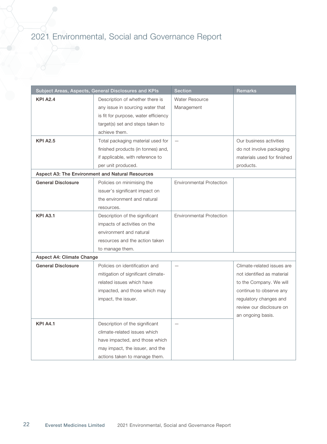|                           | Subject Areas, Aspects, General Disclosures and KPIs | <b>Section</b>                  | <b>Remarks</b>              |
|---------------------------|------------------------------------------------------|---------------------------------|-----------------------------|
| <b>KPI A2.4</b>           | Description of whether there is                      | <b>Water Resource</b>           |                             |
|                           | any issue in sourcing water that                     | Management                      |                             |
|                           | is fit for purpose, water efficiency                 |                                 |                             |
|                           | target(s) set and steps taken to                     |                                 |                             |
|                           | achieve them.                                        |                                 |                             |
| <b>KPI A2.5</b>           | Total packaging material used for                    |                                 | Our business activities     |
|                           | finished products (in tonnes) and,                   |                                 | do not involve packaging    |
|                           | if applicable, with reference to                     |                                 | materials used for finished |
|                           | per unit produced.                                   |                                 | products.                   |
|                           | Aspect A3: The Environment and Natural Resources     |                                 |                             |
| <b>General Disclosure</b> | Policies on minimising the                           | <b>Environmental Protection</b> |                             |
|                           | issuer's significant impact on                       |                                 |                             |
|                           | the environment and natural                          |                                 |                             |
|                           | resources.                                           |                                 |                             |
| <b>KPI A3.1</b>           | Description of the significant                       | <b>Environmental Protection</b> |                             |
|                           | impacts of activities on the                         |                                 |                             |
|                           | environment and natural                              |                                 |                             |
|                           | resources and the action taken                       |                                 |                             |
|                           | to manage them.                                      |                                 |                             |
| Aspect A4: Climate Change |                                                      |                                 |                             |
| <b>General Disclosure</b> | Policies on identification and                       |                                 | Climate-related issues are  |
|                           | mitigation of significant climate-                   |                                 | not identified as material  |
|                           | related issues which have                            |                                 | to the Company. We will     |
|                           | impacted, and those which may                        |                                 | continue to observe any     |
|                           | impact, the issuer.                                  |                                 | regulatory changes and      |
|                           |                                                      |                                 | review our disclosure on    |
|                           |                                                      |                                 | an ongoing basis.           |
| <b>KPI A4.1</b>           | Description of the significant                       |                                 |                             |
|                           | climate-related issues which                         |                                 |                             |
|                           | have impacted, and those which                       |                                 |                             |
|                           | may impact, the issuer, and the                      |                                 |                             |
|                           | actions taken to manage them.                        |                                 |                             |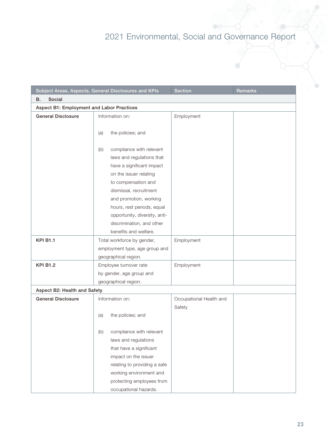|                                           | Subject Areas, Aspects, General Disclosures and KPIs | <b>Section</b>          | Remarks |
|-------------------------------------------|------------------------------------------------------|-------------------------|---------|
| Social<br>В.                              |                                                      |                         |         |
| Aspect B1: Employment and Labor Practices |                                                      |                         |         |
| <b>General Disclosure</b>                 | Information on:                                      | Employment              |         |
|                                           |                                                      |                         |         |
|                                           | the policies; and<br>(a)                             |                         |         |
|                                           |                                                      |                         |         |
|                                           | compliance with relevant<br>(b)                      |                         |         |
|                                           | laws and regulations that                            |                         |         |
|                                           | have a significant impact                            |                         |         |
|                                           | on the issuer relating                               |                         |         |
|                                           | to compensation and                                  |                         |         |
|                                           | dismissal, recruitment                               |                         |         |
|                                           | and promotion, working                               |                         |         |
|                                           | hours, rest periods, equal                           |                         |         |
|                                           | opportunity, diversity, anti-                        |                         |         |
|                                           | discrimination, and other                            |                         |         |
|                                           | benefits and welfare.                                |                         |         |
| <b>KPI B1.1</b>                           | Total workforce by gender,                           | Employment              |         |
|                                           | employment type, age group and                       |                         |         |
|                                           | geographical region.                                 |                         |         |
| <b>KPI B1.2</b>                           | Employee turnover rate                               | Employment              |         |
|                                           | by gender, age group and                             |                         |         |
|                                           | geographical region.                                 |                         |         |
| Aspect B2: Health and Safety              |                                                      |                         |         |
| <b>General Disclosure</b>                 | Information on:                                      | Occupational Health and |         |
|                                           |                                                      | Safety                  |         |
|                                           | the policies; and<br>(a)                             |                         |         |
|                                           |                                                      |                         |         |
|                                           | (b)<br>compliance with relevant                      |                         |         |
|                                           | laws and regulations                                 |                         |         |
|                                           | that have a significant                              |                         |         |
|                                           | impact on the issuer                                 |                         |         |
|                                           | relating to providing a safe                         |                         |         |
|                                           | working environment and                              |                         |         |
|                                           | protecting employees from                            |                         |         |
|                                           | occupational hazards.                                |                         |         |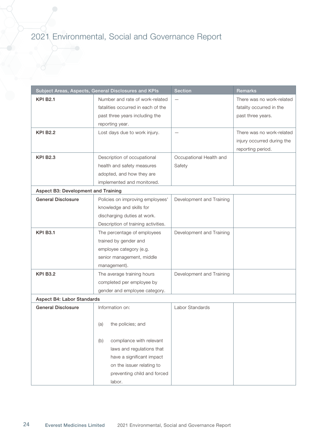|                                     | Subject Areas, Aspects, General Disclosures and KPIs | <b>Section</b>           | Remarks                    |
|-------------------------------------|------------------------------------------------------|--------------------------|----------------------------|
| <b>KPI B2.1</b>                     | Number and rate of work-related                      | $\overline{\phantom{0}}$ | There was no work-related  |
|                                     | fatalities occurred in each of the                   |                          | fatality occurred in the   |
|                                     | past three years including the                       |                          | past three years.          |
|                                     | reporting year.                                      |                          |                            |
| <b>KPI B2.2</b>                     | Lost days due to work injury.                        |                          | There was no work-related  |
|                                     |                                                      |                          | injury occurred during the |
|                                     |                                                      |                          | reporting period.          |
| <b>KPI B2.3</b>                     | Description of occupational                          | Occupational Health and  |                            |
|                                     | health and safety measures                           | Safety                   |                            |
|                                     | adopted, and how they are                            |                          |                            |
|                                     | implemented and monitored.                           |                          |                            |
| Aspect B3: Development and Training |                                                      |                          |                            |
| <b>General Disclosure</b>           | Policies on improving employees'                     | Development and Training |                            |
|                                     | knowledge and skills for                             |                          |                            |
|                                     | discharging duties at work.                          |                          |                            |
|                                     | Description of training activities.                  |                          |                            |
| <b>KPI B3.1</b>                     | The percentage of employees                          | Development and Training |                            |
|                                     | trained by gender and                                |                          |                            |
|                                     | employee category (e.g.                              |                          |                            |
|                                     | senior management, middle                            |                          |                            |
|                                     | management).                                         |                          |                            |
| <b>KPI B3.2</b>                     | The average training hours                           | Development and Training |                            |
|                                     | completed per employee by                            |                          |                            |
|                                     | gender and employee category.                        |                          |                            |
| Aspect B4: Labor Standards          |                                                      |                          |                            |
| <b>General Disclosure</b>           | Information on:                                      | Labor Standards          |                            |
|                                     |                                                      |                          |                            |
|                                     | the policies; and<br>(a)                             |                          |                            |
|                                     |                                                      |                          |                            |
|                                     | compliance with relevant<br>(b)                      |                          |                            |
|                                     | laws and regulations that                            |                          |                            |
|                                     | have a significant impact                            |                          |                            |
|                                     | on the issuer relating to                            |                          |                            |
|                                     | preventing child and forced                          |                          |                            |
|                                     | labor.                                               |                          |                            |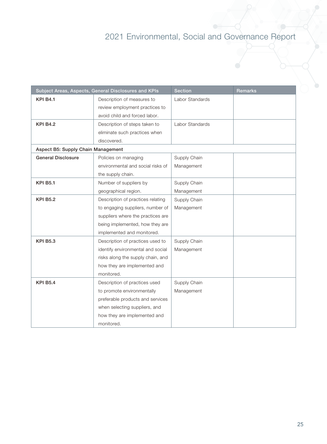|                                    | Subject Areas, Aspects, General Disclosures and KPIs | <b>Section</b>  | <b>Remarks</b> |
|------------------------------------|------------------------------------------------------|-----------------|----------------|
| <b>KPI B4.1</b>                    | Description of measures to                           | Labor Standards |                |
|                                    | review employment practices to                       |                 |                |
|                                    | avoid child and forced labor.                        |                 |                |
| <b>KPI B4.2</b>                    | Description of steps taken to                        | Labor Standards |                |
|                                    | eliminate such practices when                        |                 |                |
|                                    | discovered.                                          |                 |                |
| Aspect B5: Supply Chain Management |                                                      |                 |                |
| <b>General Disclosure</b>          | Policies on managing                                 | Supply Chain    |                |
|                                    | environmental and social risks of                    | Management      |                |
|                                    | the supply chain.                                    |                 |                |
| <b>KPI B5.1</b>                    | Number of suppliers by                               | Supply Chain    |                |
|                                    | geographical region.                                 | Management      |                |
| <b>KPI B5.2</b>                    | Description of practices relating                    | Supply Chain    |                |
|                                    | to engaging suppliers, number of                     | Management      |                |
|                                    | suppliers where the practices are                    |                 |                |
|                                    | being implemented, how they are                      |                 |                |
|                                    | implemented and monitored.                           |                 |                |
| <b>KPI B5.3</b>                    | Description of practices used to                     | Supply Chain    |                |
|                                    | identify environmental and social                    | Management      |                |
|                                    | risks along the supply chain, and                    |                 |                |
|                                    | how they are implemented and                         |                 |                |
|                                    | monitored.                                           |                 |                |
| <b>KPI B5.4</b>                    | Description of practices used                        | Supply Chain    |                |
|                                    | to promote environmentally                           | Management      |                |
|                                    | preferable products and services                     |                 |                |
|                                    | when selecting suppliers, and                        |                 |                |
|                                    | how they are implemented and                         |                 |                |
|                                    | monitored.                                           |                 |                |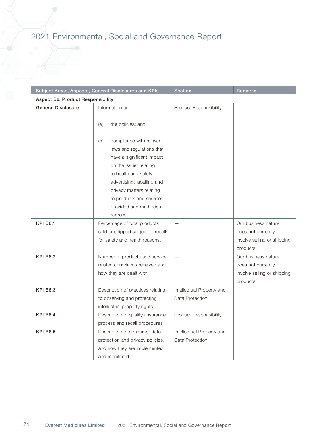|                                          | Subject Areas, Aspects, General Disclosures and KPIs         | <b>Section</b>            | <b>Remarks</b>              |  |
|------------------------------------------|--------------------------------------------------------------|---------------------------|-----------------------------|--|
| <b>Aspect B6: Product Responsibility</b> |                                                              |                           |                             |  |
| <b>General Disclosure</b>                | Information on:                                              | Product Responsibility    |                             |  |
|                                          | the policies; and<br>(a)                                     |                           |                             |  |
|                                          | compliance with relevant<br>(b)<br>laws and regulations that |                           |                             |  |
|                                          | have a significant impact                                    |                           |                             |  |
|                                          | on the issuer relating                                       |                           |                             |  |
|                                          | to health and safety,                                        |                           |                             |  |
|                                          | advertising, labelling and                                   |                           |                             |  |
|                                          | privacy matters relating                                     |                           |                             |  |
|                                          | to products and services                                     |                           |                             |  |
|                                          | provided and methods of                                      |                           |                             |  |
|                                          | redress.                                                     |                           |                             |  |
| <b>KPI B6.1</b>                          | Percentage of total products                                 |                           | Our business nature         |  |
|                                          | sold or shipped subject to recalls                           |                           | does not currently          |  |
|                                          | for safety and health reasons.                               |                           | involve selling or shipping |  |
|                                          |                                                              |                           | products.                   |  |
| <b>KPI B6.2</b>                          | Number of products and service-                              | $\equiv$                  | Our business nature         |  |
|                                          | related complaints received and                              |                           | does not currently          |  |
|                                          | how they are dealt with.                                     |                           | involve selling or shipping |  |
|                                          |                                                              |                           | products.                   |  |
| <b>KPI B6.3</b>                          | Description of practices relating                            | Intellectual Property and |                             |  |
|                                          | to observing and protecting                                  | Data Protection           |                             |  |
|                                          | intellectual property rights.                                |                           |                             |  |
| <b>KPI B6.4</b>                          | Description of quality assurance                             | Product Responsibility    |                             |  |
|                                          | process and recall procedures.                               |                           |                             |  |
| <b>KPI B6.5</b>                          | Description of consumer data                                 | Intellectual Property and |                             |  |
|                                          | protection and privacy policies,                             | Data Protection           |                             |  |
|                                          | and how they are implemented                                 |                           |                             |  |
|                                          | and monitored.                                               |                           |                             |  |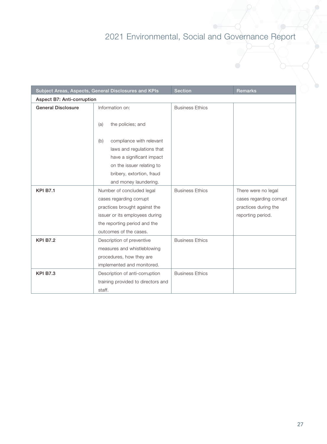|                            | Subject Areas, Aspects, General Disclosures and KPIs | <b>Section</b>         | <b>Remarks</b>          |  |
|----------------------------|------------------------------------------------------|------------------------|-------------------------|--|
| Aspect B7: Anti-corruption |                                                      |                        |                         |  |
| <b>General Disclosure</b>  | Information on:                                      | <b>Business Ethics</b> |                         |  |
|                            |                                                      |                        |                         |  |
|                            | the policies; and<br>(a)                             |                        |                         |  |
|                            |                                                      |                        |                         |  |
|                            | compliance with relevant<br>(b)                      |                        |                         |  |
|                            | laws and regulations that                            |                        |                         |  |
|                            | have a significant impact                            |                        |                         |  |
|                            | on the issuer relating to                            |                        |                         |  |
|                            | bribery, extortion, fraud                            |                        |                         |  |
|                            | and money laundering.                                |                        |                         |  |
| <b>KPI B7.1</b>            | Number of concluded legal                            | <b>Business Ethics</b> | There were no legal     |  |
|                            | cases regarding corrupt                              |                        | cases regarding corrupt |  |
|                            | practices brought against the                        |                        | practices during the    |  |
|                            | issuer or its employees during                       |                        | reporting period.       |  |
|                            | the reporting period and the                         |                        |                         |  |
|                            | outcomes of the cases.                               |                        |                         |  |
| <b>KPI B7.2</b>            | Description of preventive                            | <b>Business Ethics</b> |                         |  |
|                            | measures and whistleblowing                          |                        |                         |  |
|                            | procedures, how they are                             |                        |                         |  |
|                            | implemented and monitored.                           |                        |                         |  |
| <b>KPI B7.3</b>            | Description of anti-corruption                       | <b>Business Ethics</b> |                         |  |
|                            | training provided to directors and                   |                        |                         |  |
|                            | staff.                                               |                        |                         |  |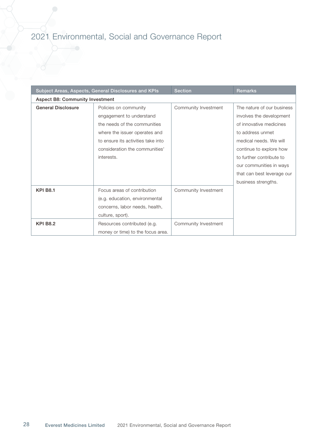| Subject Areas, Aspects, General Disclosures and KPIs |                                    | <b>Section</b>       | <b>Remarks</b>             |
|------------------------------------------------------|------------------------------------|----------------------|----------------------------|
| <b>Aspect B8: Community Investment</b>               |                                    |                      |                            |
| <b>General Disclosure</b>                            | Policies on community              | Community Investment | The nature of our business |
|                                                      | engagement to understand           |                      | involves the development   |
|                                                      | the needs of the communities       |                      | of innovative medicines    |
|                                                      | where the issuer operates and      |                      | to address unmet           |
|                                                      | to ensure its activities take into |                      | medical needs. We will     |
|                                                      | consideration the communities'     |                      | continue to explore how    |
|                                                      | interests.                         |                      | to further contribute to   |
|                                                      |                                    |                      | our communities in ways    |
|                                                      |                                    |                      | that can best leverage our |
|                                                      |                                    |                      | business strengths.        |
| <b>KPI B8.1</b>                                      | Focus areas of contribution        | Community Investment |                            |
|                                                      | (e.g. education, environmental     |                      |                            |
|                                                      | concerns, labor needs, health,     |                      |                            |
|                                                      | culture, sport).                   |                      |                            |
| <b>KPI B8.2</b>                                      | Resources contributed (e.g.        | Community Investment |                            |
|                                                      | money or time) to the focus area.  |                      |                            |